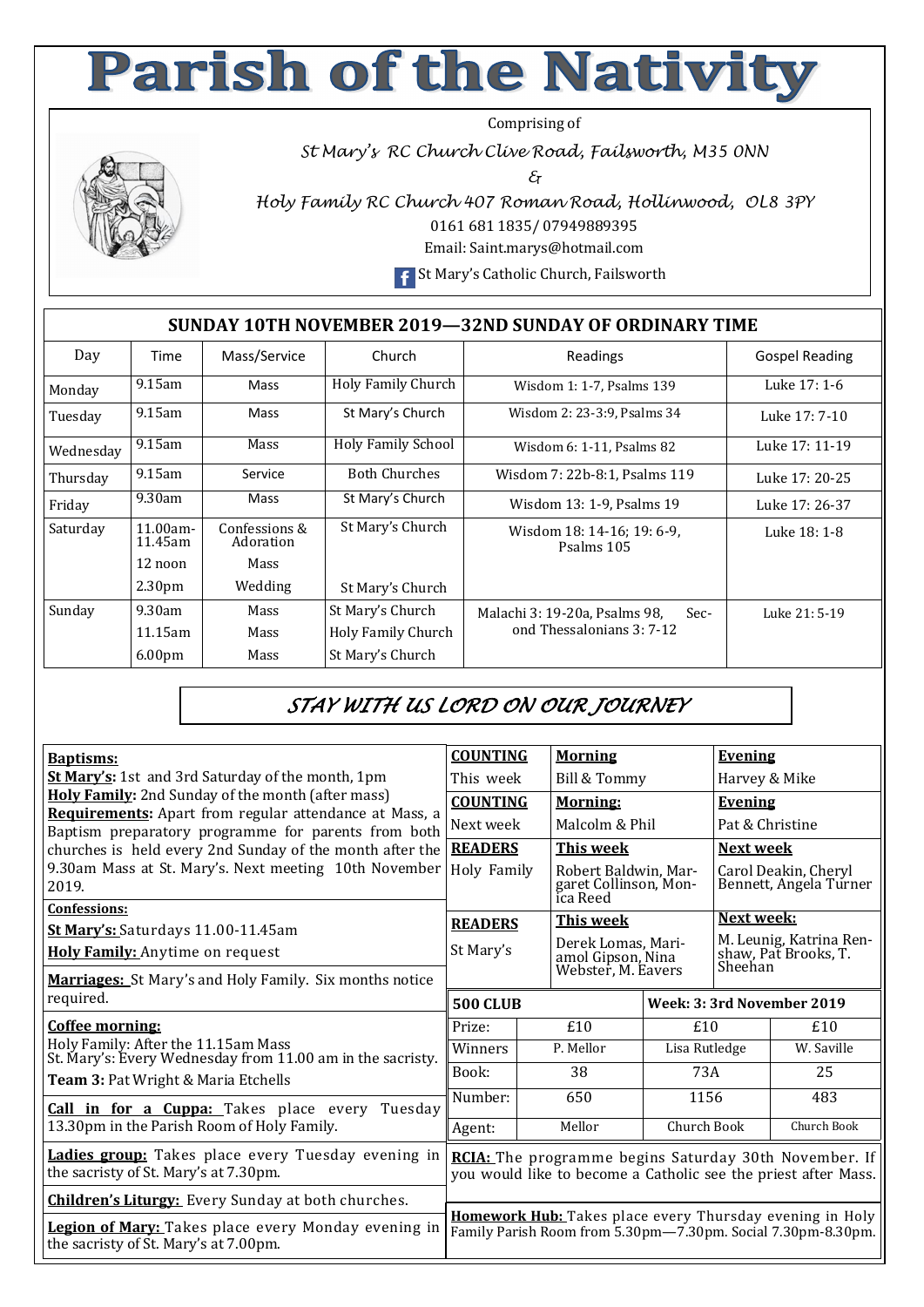## **Parish of the Nativity**

Comprising of

*St Mary's RC Church Clive Road, Failsworth, M35 0NN* 

*&* 



*Holy Family RC Church 407 Roman Road, Hollinwood, OL8 3PY*  0161 681 1835/ 07949889395

Email: Saint.marys@hotmail.com

**F** St Mary's Catholic Church, Failsworth

## **SUNDAY 10TH NOVEMBER 2019—32ND SUNDAY OF ORDINARY TIME**

| Day       | Time                   | Mass/Service               | Church                    | Readings                                 | <b>Gospel Reading</b> |
|-----------|------------------------|----------------------------|---------------------------|------------------------------------------|-----------------------|
| Monday    | $9.15$ am              | Mass                       | Holy Family Church        | Wisdom 1: 1-7, Psalms 139                | Luke 17: 1-6          |
| Tuesday   | $9.15$ am              | Mass                       | St Mary's Church          | Wisdom 2: 23-3:9, Psalms 34              | Luke 17: 7-10         |
| Wednesday | $9.15$ am              | Mass                       | <b>Holy Family School</b> | Wisdom 6: 1-11, Psalms 82                | Luke 17: 11-19        |
| Thursday  | $9.15$ am              | Service                    | <b>Both Churches</b>      | Wisdom 7: 22b-8:1, Psalms 119            | Luke 17: 20-25        |
| Friday    | 9.30am                 | Mass                       | St Mary's Church          | Wisdom 13: 1-9, Psalms 19                | Luke 17: 26-37        |
| Saturday  | $11.00am -$<br>11.45am | Confessions &<br>Adoration | St Mary's Church          | Wisdom 18: 14-16; 19: 6-9.<br>Psalms 105 | Luke 18: 1-8          |
|           | 12 noon                | Mass                       |                           |                                          |                       |
|           | 2.30 <sub>pm</sub>     | Wedding                    | St Mary's Church          |                                          |                       |
| Sunday    | 9.30am                 | Mass                       | St Mary's Church          | Malachi 3: 19-20a, Psalms 98,<br>Sec-    | Luke 21: 5-19         |
|           | 11.15am                | Mass                       | Holy Family Church        | ond Thessalonians 3: 7-12                |                       |
|           | 6.00 <sub>pm</sub>     | Mass                       | St Mary's Church          |                                          |                       |

## *STAY WITH US LORD ON OUR JOURNEY*

| <b>Baptisms:</b>                                                                                              | <b>COUNTING</b>                                                                                                          | <b>Morning</b>                                            |                            |                                                            | <b>Evening</b>  |  |
|---------------------------------------------------------------------------------------------------------------|--------------------------------------------------------------------------------------------------------------------------|-----------------------------------------------------------|----------------------------|------------------------------------------------------------|-----------------|--|
| <b>St Mary's:</b> 1st and 3rd Saturday of the month, 1pm                                                      | This week                                                                                                                | Bill & Tommy                                              | Harvey & Mike              |                                                            |                 |  |
| Holy Family: 2nd Sunday of the month (after mass)                                                             | <b>COUNTING</b>                                                                                                          | <b>Morning:</b>                                           |                            |                                                            | <b>Evening</b>  |  |
| Requirements: Apart from regular attendance at Mass, a<br>Baptism preparatory programme for parents from both | Next week                                                                                                                |                                                           | Malcolm & Phil             |                                                            | Pat & Christine |  |
| churches is held every 2nd Sunday of the month after the                                                      | <b>READERS</b>                                                                                                           | <b>This week</b>                                          |                            |                                                            | Next week       |  |
| 9.30am Mass at St. Mary's. Next meeting 10th November<br>2019.                                                | Holy Family                                                                                                              | Robert Baldwin, Mar-<br>garet Collinson, Mon-<br>ica Reed |                            | Carol Deakin, Cheryl<br>Bennett, Angela Turner             |                 |  |
| <b>Confessions:</b>                                                                                           | <b>READERS</b>                                                                                                           | This week                                                 |                            |                                                            | Next week:      |  |
| St Mary's: Saturdays 11.00-11.45am                                                                            |                                                                                                                          | Derek Lomas, Mari-                                        |                            | M. Leunig, Katrina Ren-<br>shaw, Pat Brooks, T.<br>Sheehan |                 |  |
| Holy Family: Anytime on request                                                                               | St Mary's                                                                                                                | amol Gipson, Nina<br>Webster, M. Eavers                   |                            |                                                            |                 |  |
| Marriages: St Mary's and Holy Family. Six months notice                                                       |                                                                                                                          |                                                           |                            |                                                            |                 |  |
| required.                                                                                                     | <b>500 CLUB</b>                                                                                                          |                                                           | Week: 3: 3rd November 2019 |                                                            |                 |  |
| Coffee morning:                                                                                               | Prize:                                                                                                                   | £10                                                       | £10                        |                                                            | £10             |  |
| Holy Family: After the 11.15am Mass<br>St. Mary's: Every Wednesday from 11.00 am in the sacristy.             | Winners                                                                                                                  | P. Mellor                                                 | Lisa Rutledge              |                                                            | W. Saville      |  |
| <b>Team 3: Pat Wright &amp; Maria Etchells</b>                                                                | Book:                                                                                                                    | 38                                                        | 73A                        |                                                            | 25              |  |
| Call in for a Cuppa: Takes place every Tuesday                                                                | Number:                                                                                                                  | 650                                                       | 1156                       |                                                            | 483             |  |
| 13.30pm in the Parish Room of Holy Family.                                                                    | Agent:                                                                                                                   | Mellor                                                    | Church Book                |                                                            | Church Book     |  |
| Ladies group: Takes place every Tuesday evening in<br>the sacristy of St. Mary's at 7.30pm.                   | RCIA: The programme begins Saturday 30th November. If<br>you would like to become a Catholic see the priest after Mass.  |                                                           |                            |                                                            |                 |  |
| <b>Children's Liturgy:</b> Every Sunday at both churches.                                                     |                                                                                                                          |                                                           |                            |                                                            |                 |  |
| Legion of Mary: Takes place every Monday evening in<br>the sacristy of St. Mary's at 7.00pm.                  | Homework Hub: Takes place every Thursday evening in Holy<br>Family Parish Room from 5.30pm-7.30pm. Social 7.30pm-8.30pm. |                                                           |                            |                                                            |                 |  |